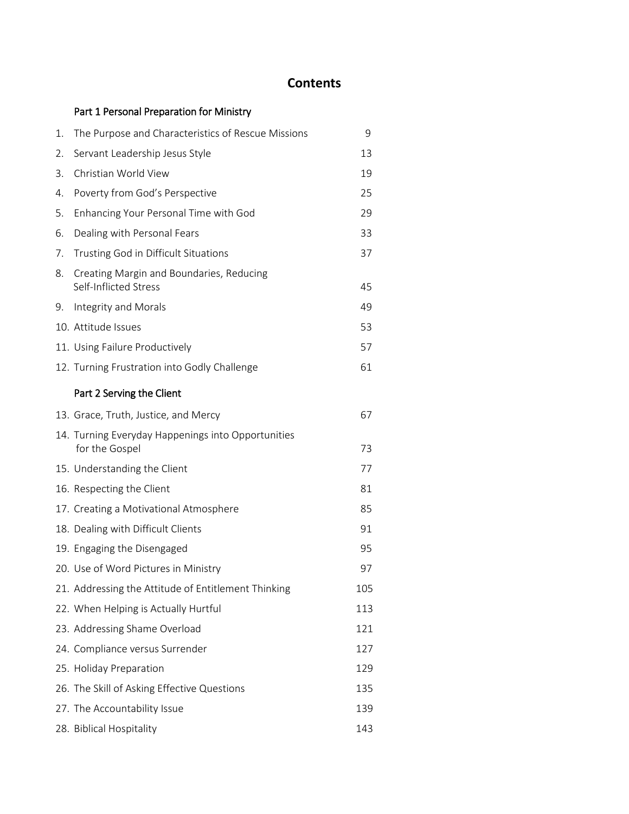## **Contents**

|    | Part 1 Personal Preparation for Ministry                             |     |
|----|----------------------------------------------------------------------|-----|
| 1. | The Purpose and Characteristics of Rescue Missions                   | 9   |
| 2. | Servant Leadership Jesus Style                                       | 13  |
| 3. | Christian World View                                                 | 19  |
| 4. | Poverty from God's Perspective                                       | 25  |
| 5. | Enhancing Your Personal Time with God                                | 29  |
| 6. | Dealing with Personal Fears                                          | 33  |
| 7. | Trusting God in Difficult Situations                                 | 37  |
| 8. | Creating Margin and Boundaries, Reducing<br>Self-Inflicted Stress    | 45  |
| 9. | Integrity and Morals                                                 | 49  |
|    | 10. Attitude Issues                                                  | 53  |
|    | 11. Using Failure Productively                                       | 57  |
|    | 12. Turning Frustration into Godly Challenge                         | 61  |
|    | Part 2 Serving the Client                                            |     |
|    | 13. Grace, Truth, Justice, and Mercy                                 | 67  |
|    | 14. Turning Everyday Happenings into Opportunities<br>for the Gospel | 73  |
|    | 15. Understanding the Client                                         | 77  |
|    | 16. Respecting the Client                                            | 81  |
|    | 17. Creating a Motivational Atmosphere                               | 85  |
|    | 18. Dealing with Difficult Clients                                   | 91  |
|    | 19. Engaging the Disengaged                                          | 95  |
|    | 20. Use of Word Pictures in Ministry                                 | 97  |
|    | 21. Addressing the Attitude of Entitlement Thinking                  | 105 |
|    | 22. When Helping is Actually Hurtful                                 | 113 |
|    | 23. Addressing Shame Overload                                        | 121 |
|    | 24. Compliance versus Surrender                                      | 127 |
|    | 25. Holiday Preparation                                              | 129 |
|    | 26. The Skill of Asking Effective Questions                          | 135 |
|    | 27. The Accountability Issue                                         | 139 |
|    | 28. Biblical Hospitality                                             | 143 |